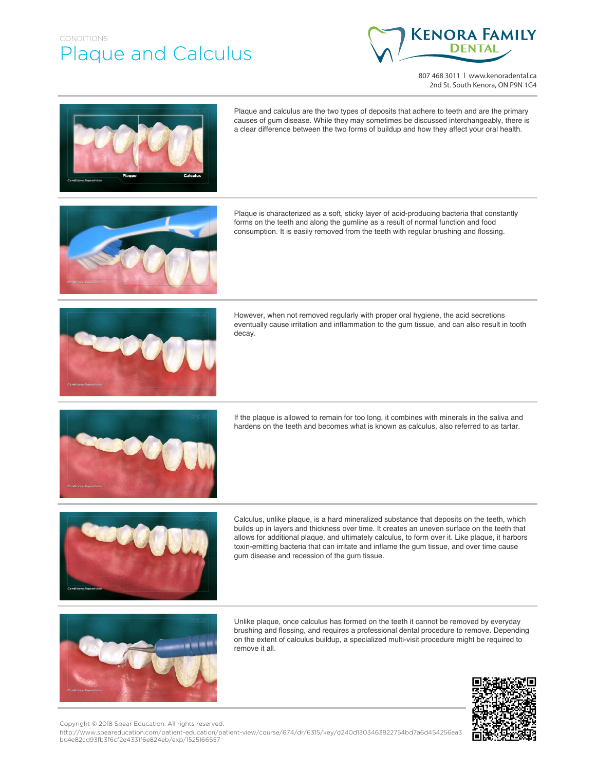## CONDITIONS Plaque and Calculus



807 468 3011 | www.kenoradental.ca 2nd St. South Kenora, ON P9N 1G4



Plaque and calculus are the two types of deposits that adhere to teeth and are the primary causes of gum disease. While they may sometimes be discussed interchangeably, there is a clear difference between the two forms of buildup and how they affect your oral health.



Plaque is characterized as a soft, sticky layer of acid-producing bacteria that constantly forms on the teeth and along the gumline as a result of normal function and food consumption. It is easily removed from the teeth with regular brushing and flossing.



However, when not removed regularly with proper oral hygiene, the acid secretions eventually cause irritation and inflammation to the gum tissue, and can also result in tooth decay.



If the plaque is allowed to remain for too long, it combines with minerals in the saliva and hardens on the teeth and becomes what is known as calculus, also referred to as tartar.



Calculus, unlike plaque, is a hard mineralized substance that deposits on the teeth, which builds up in layers and thickness over time. It creates an uneven surface on the teeth that allows for additional plaque, and ultimately calculus, to form over it. Like plaque, it harbors toxin-emitting bacteria that can irritate and inflame the gum tissue, and over time cause gum disease and recession of the gum tissue.



Unlike plaque, once calculus has formed on the teeth it cannot be removed by everyday brushing and flossing, and requires a professional dental procedure to remove. Depending on the extent of calculus buildup, a specialized multi-visit procedure might be required to remove it all.



Copyright © 2018 Spear Education. All rights reserved.

http://www.speareducation.com/patient-education/patient-view/course/674/dr/6315/key/d240d1303463822754bd7a6d454256ea3 bc4e82cd93fb3f6cf2e4331f6e824eb/exp/1525166557